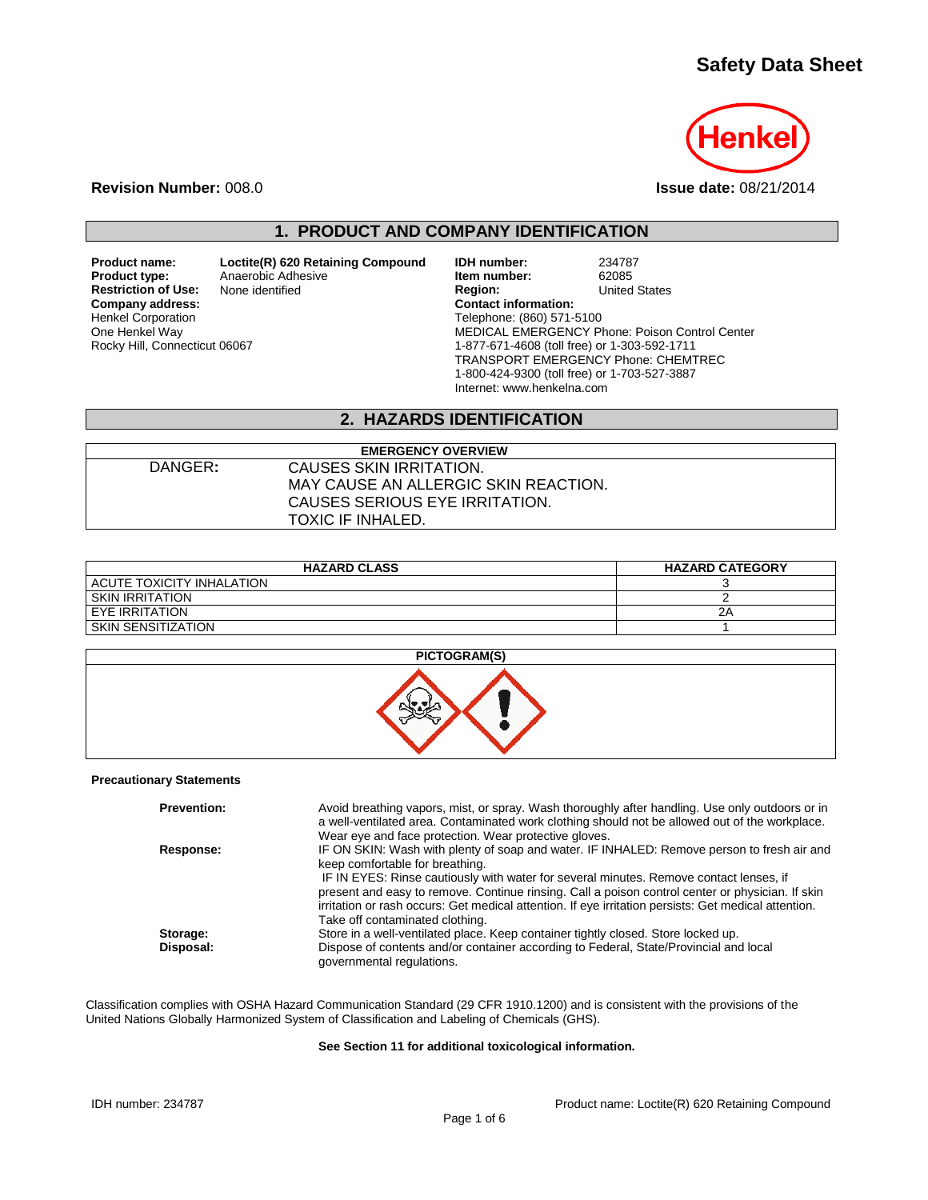# **Safety Data Sheet**



**Revision Number:** 008.0 **Issue date:** 08/21/2014

# **1. PRODUCT AND COMPANY IDENTIFICATION**

**Restriction of Use:**<br>Company address: Henkel Corporation One Henkel Way Rocky Hill, Connecticut 06067

**Product name: Loctite(R) 620 Retaining Compound IDH number:** 234787<br>**Product type:** Anaerobic Adhesive **11 Anaerobic Adhesive 11 Anaerobic Adhesive** 

**Product Adhesive Product 1 Septem 1 Anaerobic Adhesive <b>Item number:** 62085<br> **Product Added States**<br> **Product Added States**<br> **Product Added States Company address: Contact information:** Telephone: (860) 571-5100 MEDICAL EMERGENCY Phone: Poison Control Center 1-877-671-4608 (toll free) or 1-303-592-1711 TRANSPORT EMERGENCY Phone: CHEMTREC 1-800-424-9300 (toll free) or 1-703-527-3887 Internet: www.henkelna.com

### **2. HAZARDS IDENTIFICATION**

| <b>EMERGENCY OVERVIEW</b> |                                      |  |
|---------------------------|--------------------------------------|--|
| DANGER:                   | CAUSES SKIN IRRITATION.              |  |
|                           | MAY CAUSE AN ALLERGIC SKIN REACTION. |  |
|                           | CAUSES SERIOUS EYE IRRITATION.       |  |
|                           | TOXIC IF INHALED.                    |  |

| <b>HAZARD CLASS</b>       | <b>HAZARD CATEGORY</b> |
|---------------------------|------------------------|
| ACUTE TOXICITY INHALATION |                        |
| SKIN IRRITATION           |                        |
| EYE IRRITATION            | 2Α                     |
| SKIN SENSITIZATION        |                        |



#### **Precautionary Statements**

| <b>Prevention:</b> | Avoid breathing vapors, mist, or spray. Wash thoroughly after handling. Use only outdoors or in<br>a well-ventilated area. Contaminated work clothing should not be allowed out of the workplace.<br>Wear eye and face protection. Wear protective gloves.                                                                                                                                                                                                             |
|--------------------|------------------------------------------------------------------------------------------------------------------------------------------------------------------------------------------------------------------------------------------------------------------------------------------------------------------------------------------------------------------------------------------------------------------------------------------------------------------------|
| Response:          | IF ON SKIN: Wash with plenty of soap and water. IF INHALED: Remove person to fresh air and<br>keep comfortable for breathing.<br>IF IN EYES: Rinse cautiously with water for several minutes. Remove contact lenses, if<br>present and easy to remove. Continue rinsing. Call a poison control center or physician. If skin<br>irritation or rash occurs: Get medical attention. If eye irritation persists: Get medical attention.<br>Take off contaminated clothing. |
| Storage:           | Store in a well-ventilated place. Keep container tightly closed. Store locked up.                                                                                                                                                                                                                                                                                                                                                                                      |
| Disposal:          | Dispose of contents and/or container according to Federal, State/Provincial and local<br>governmental regulations.                                                                                                                                                                                                                                                                                                                                                     |

Classification complies with OSHA Hazard Communication Standard (29 CFR 1910.1200) and is consistent with the provisions of the United Nations Globally Harmonized System of Classification and Labeling of Chemicals (GHS).

#### **See Section 11 for additional toxicological information.**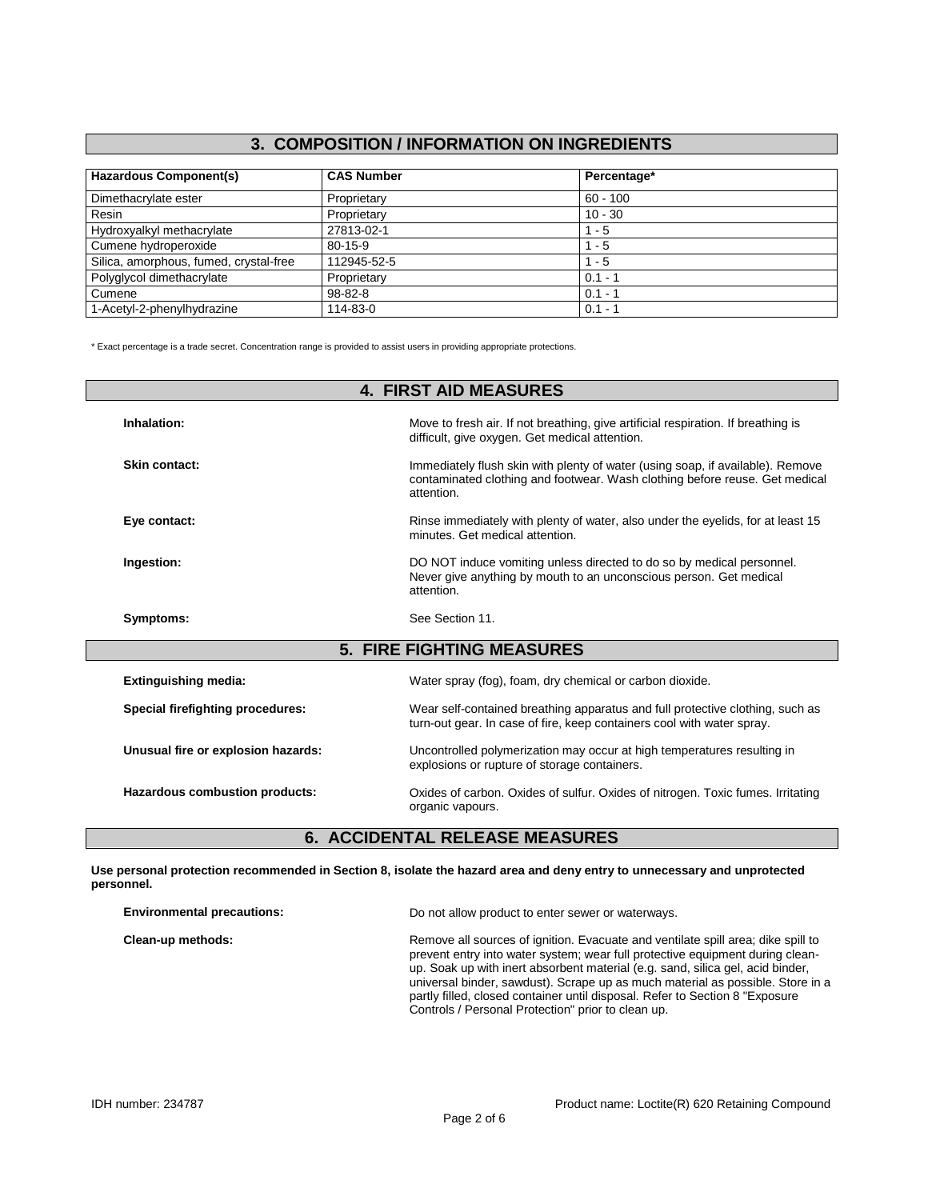# **3. COMPOSITION / INFORMATION ON INGREDIENTS**

| <b>Hazardous Component(s)</b>          | <b>CAS Number</b> | Percentage* |  |
|----------------------------------------|-------------------|-------------|--|
| Dimethacrylate ester                   | Proprietary       | $60 - 100$  |  |
| Resin                                  | Proprietary       | $10 - 30$   |  |
| Hydroxyalkyl methacrylate              | 27813-02-1        | $1 - 5$     |  |
| Cumene hydroperoxide                   | $80 - 15 - 9$     | $1 - 5$     |  |
| Silica, amorphous, fumed, crystal-free | 112945-52-5       | $1 - 5$     |  |
| Polyglycol dimethacrylate              | Proprietary       | $0.1 - 1$   |  |
| Cumene                                 | $98 - 82 - 8$     | $0.1 - 1$   |  |
| 1-Acetyl-2-phenylhydrazine             | 114-83-0          | $0.1 - 1$   |  |

\* Exact percentage is a trade secret. Concentration range is provided to assist users in providing appropriate protections.

| <b>4. FIRST AID MEASURES</b>       |                                                                                                                                                                             |  |
|------------------------------------|-----------------------------------------------------------------------------------------------------------------------------------------------------------------------------|--|
| Inhalation:                        | Move to fresh air. If not breathing, give artificial respiration. If breathing is<br>difficult, give oxygen. Get medical attention.                                         |  |
| Skin contact:                      | Immediately flush skin with plenty of water (using soap, if available). Remove<br>contaminated clothing and footwear. Wash clothing before reuse. Get medical<br>attention. |  |
| Eye contact:                       | Rinse immediately with plenty of water, also under the eyelids, for at least 15<br>minutes. Get medical attention.                                                          |  |
| Ingestion:                         | DO NOT induce vomiting unless directed to do so by medical personnel.<br>Never give anything by mouth to an unconscious person. Get medical<br>attention.                   |  |
| Symptoms:                          | See Section 11.                                                                                                                                                             |  |
|                                    | <b>5. FIRE FIGHTING MEASURES</b>                                                                                                                                            |  |
| <b>Extinguishing media:</b>        | Water spray (fog), foam, dry chemical or carbon dioxide.                                                                                                                    |  |
|                                    |                                                                                                                                                                             |  |
| Special firefighting procedures:   | Wear self-contained breathing apparatus and full protective clothing, such as<br>turn-out gear. In case of fire, keep containers cool with water spray.                     |  |
| Unusual fire or explosion hazards: | Uncontrolled polymerization may occur at high temperatures resulting in<br>explosions or rupture of storage containers.                                                     |  |

# **6. ACCIDENTAL RELEASE MEASURES**

**Use personal protection recommended in Section 8, isolate the hazard area and deny entry to unnecessary and unprotected personnel.**

| <b>Environmental precautions:</b> | Do not allow product to enter sewer or waterways.                                                                                                                                                                                                                                                                                                                                                                                                                            |
|-----------------------------------|------------------------------------------------------------------------------------------------------------------------------------------------------------------------------------------------------------------------------------------------------------------------------------------------------------------------------------------------------------------------------------------------------------------------------------------------------------------------------|
| Clean-up methods:                 | Remove all sources of ignition. Evacuate and ventilate spill area; dike spill to<br>prevent entry into water system; wear full protective equipment during clean-<br>up. Soak up with inert absorbent material (e.g. sand, silica gel, acid binder,<br>universal binder, sawdust). Scrape up as much material as possible. Store in a<br>partly filled, closed container until disposal. Refer to Section 8 "Exposure"<br>Controls / Personal Protection" prior to clean up. |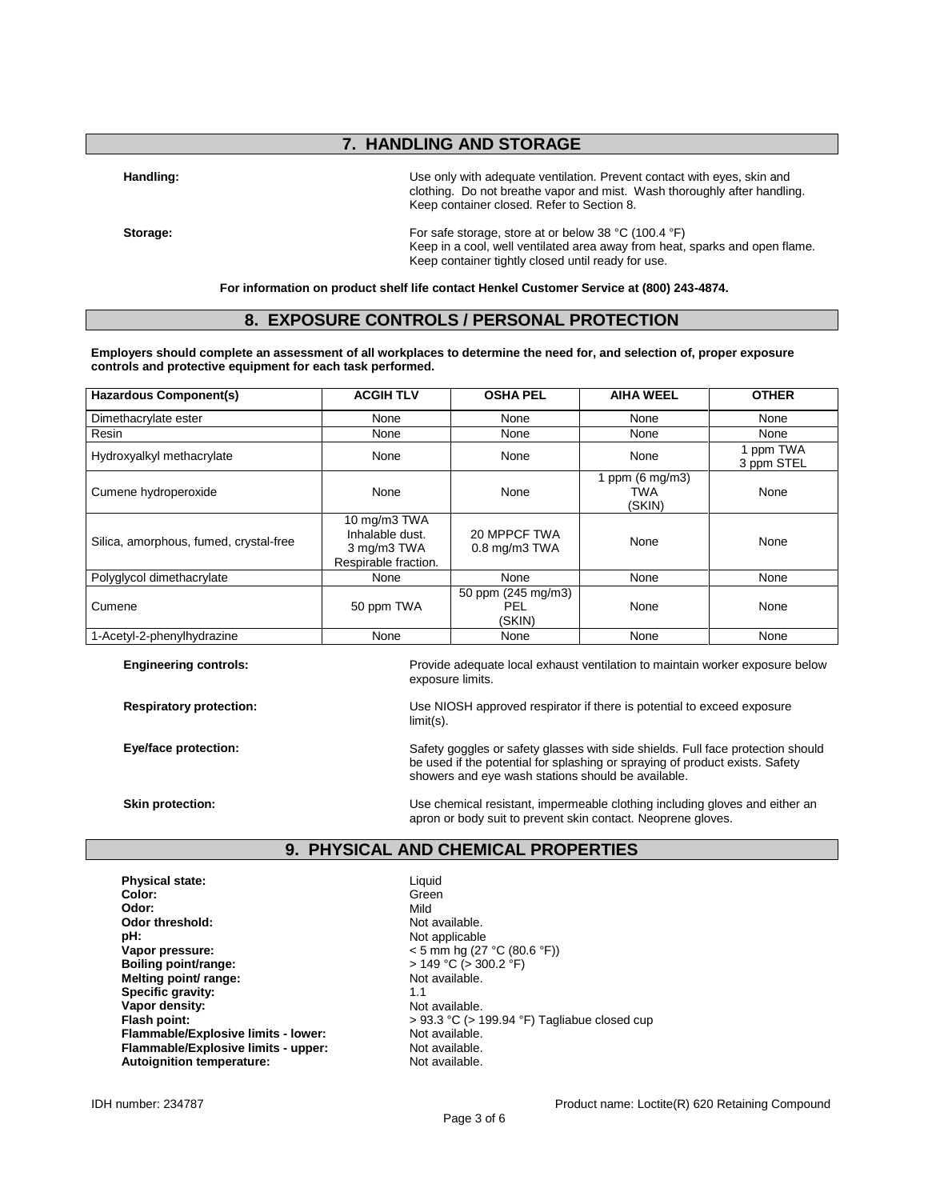# **7. HANDLING AND STORAGE**

**Handling:** Use only with adequate ventilation. Prevent contact with eyes, skin and clothing. Do not breathe vapor and mist. Wash thoroughly after handling. Keep container closed. Refer to Section 8.

**Storage:** For safe storage, store at or below 38 °C (100.4 °F) Keep in a cool, well ventilated area away from heat, sparks and open flame. Keep container tightly closed until ready for use.

**For information on product shelf life contact Henkel Customer Service at (800) 243-4874.**

### **8. EXPOSURE CONTROLS / PERSONAL PROTECTION**

**Employers should complete an assessment of all workplaces to determine the need for, and selection of, proper exposure controls and protective equipment for each task performed.**

| <b>Hazardous Component(s)</b>          | <b>ACGIH TLV</b>                                                       | <b>OSHA PEL</b>                            | <b>AIHA WEEL</b>                           | <b>OTHER</b>            |
|----------------------------------------|------------------------------------------------------------------------|--------------------------------------------|--------------------------------------------|-------------------------|
| Dimethacrylate ester                   | None                                                                   | None                                       | None                                       | None                    |
| Resin                                  | None                                                                   | None                                       | None                                       | None                    |
| Hydroxyalkyl methacrylate              | None                                                                   | None                                       | None                                       | 1 ppm TWA<br>3 ppm STEL |
| Cumene hydroperoxide                   | None                                                                   | None                                       | 1 ppm $(6 \text{ mg/m3})$<br>TWA<br>(SKIN) | None                    |
| Silica, amorphous, fumed, crystal-free | 10 mg/m3 TWA<br>Inhalable dust.<br>3 mg/m3 TWA<br>Respirable fraction. | 20 MPPCF TWA<br>$0.8$ mg/m $3$ TWA         | None                                       | None                    |
| Polyglycol dimethacrylate              | None                                                                   | None                                       | None                                       | None                    |
| Cumene                                 | 50 ppm TWA                                                             | 50 ppm (245 mg/m3)<br><b>PEL</b><br>(SKIN) | None                                       | None                    |
| 1-Acetyl-2-phenylhydrazine             | None                                                                   | None                                       | None                                       | None                    |

**Engineering controls:** Provide adequate local exhaust ventilation to maintain worker exposure below exposure limits.

**Respiratory protection:** Use NIOSH approved respirator if there is potential to exceed exposure limit(s).

**Eye/face protection:** Safety goggles or safety glasses with side shields. Full face protection should be used if the potential for splashing or spraying of product exists. Safety showers and eye wash stations should be available.

**Skin protection:** The Use chemical resistant, impermeable clothing including gloves and either an apron or body suit to prevent skin contact. Neoprene gloves.

#### **9. PHYSICAL AND CHEMICAL PROPERTIES**

**Physical state:** Liquid **Color:** Green Green Color: Green Green Green Green Green Green Green Green Green Green Green Green Green Green Green Green Green Green Green Green Green Green Green Green Green Green Green Green Green Green Green Green Gr **Odor:** Mild **Odor threshold:** Not available.<br> **pH:** Not applicable **pH:**<br> **Vapor pressure:**<br>
Vapor pressure:<br>  $\frac{1}{2}$  Magnetic Magnetic Magnetic Magnetic Magnetic Magnetic Magnetic Magnetic Magnetic Magnetic Magnetic Magnetic Magnetic Magnetic Magnetic Magnetic Magnetic Magnetic Magneti **Boiling point/range: Melting point/ range:** Not available. **Specific gravity:**  $\begin{array}{ccc} 1.1 & 1.1 \\ \hline \end{array}$  **Not available. Vapor density:**<br>Flash point: **Flammable/Explosive limits - lower:** Not available.<br> **Flammable/Explosive limits - upper:** Not available. **Flammable/Explosive limits - upper:** Not available.<br> **Autoignition temperature:** Not available. **Autoignition temperature:** 

< 5 mm hg (27 °C (80.6 °F))<br>> 149 °C (> 300.2 °F) **Flash point:** > 93.3 °C (> 199.94 °F) Tagliabue closed cup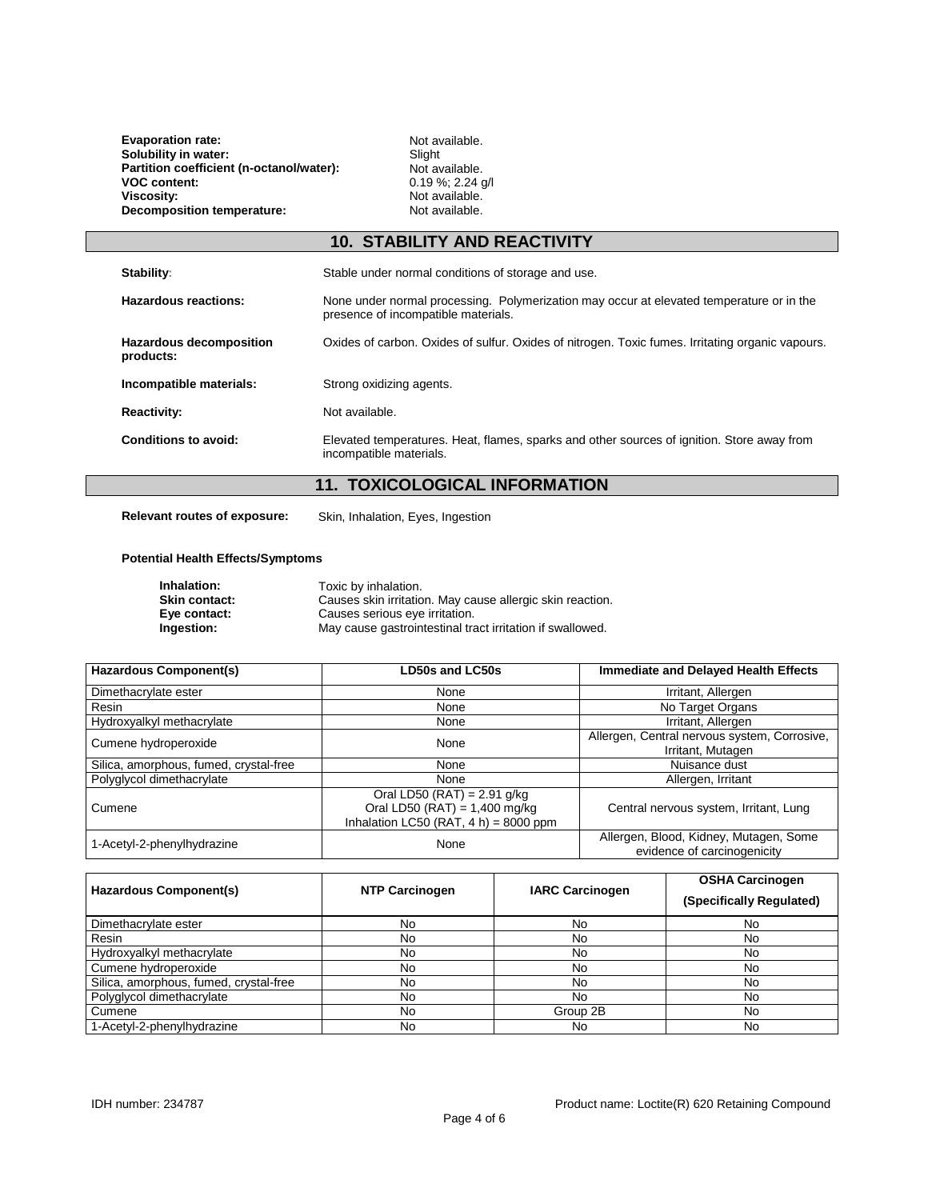**Evaporation rate:** Not available.<br> **Solubility in water:** Not available.<br>
Slight **Solubility in water:** Solubility in water:<br> **Slight** Slight<br> **Partition coefficient (n-octanol/water):** Not available. Partition coefficient (n-octanol/water):<br>VOC content: **VOC content:** (as content: 0.19%; 2.24 g/l<br>Viscosity: 0.19%; 2.24 g/l<br>Viscosity: Not available. **Decomposition temperature:** 

Not available.<br>Not available.

# **10. STABILITY AND REACTIVITY**

| Stability:                           | Stable under normal conditions of storage and use.                                                                              |
|--------------------------------------|---------------------------------------------------------------------------------------------------------------------------------|
| Hazardous reactions:                 | None under normal processing. Polymerization may occur at elevated temperature or in the<br>presence of incompatible materials. |
| Hazardous decomposition<br>products: | Oxides of carbon. Oxides of sulfur. Oxides of nitrogen. Toxic fumes. Irritating organic vapours.                                |
| Incompatible materials:              | Strong oxidizing agents.                                                                                                        |
| <b>Reactivity:</b>                   | Not available.                                                                                                                  |
| Conditions to avoid:                 | Elevated temperatures. Heat, flames, sparks and other sources of ignition. Store away from<br>incompatible materials.           |

## **11. TOXICOLOGICAL INFORMATION**

**Relevant routes of exposure:** Skin, Inhalation, Eyes, Ingestion

#### **Potential Health Effects/Symptoms**

| Inhalation:          | Toxic by inhalation.                                      |
|----------------------|-----------------------------------------------------------|
| <b>Skin contact:</b> | Causes skin irritation. May cause allergic skin reaction. |
| Eve contact:         | Causes serious eye irritation.                            |
| Ingestion:           | May cause gastrointestinal tract irritation if swallowed. |

| <b>Hazardous Component(s)</b>          | <b>LD50s and LC50s</b>                                                                                       | <b>Immediate and Delayed Health Effects</b>                           |
|----------------------------------------|--------------------------------------------------------------------------------------------------------------|-----------------------------------------------------------------------|
| Dimethacrylate ester                   | None                                                                                                         | Irritant, Allergen                                                    |
| Resin                                  | None                                                                                                         | No Target Organs                                                      |
| Hydroxyalkyl methacrylate              | None                                                                                                         | Irritant, Allergen                                                    |
| Cumene hydroperoxide                   | None                                                                                                         | Allergen, Central nervous system, Corrosive,<br>Irritant, Mutagen     |
| Silica, amorphous, fumed, crystal-free | None                                                                                                         | Nuisance dust                                                         |
| Polyglycol dimethacrylate              | None                                                                                                         | Allergen, Irritant                                                    |
| Cumene                                 | Oral LD50 (RAT) = $2.91$ g/kg<br>Oral LD50 (RAT) = $1,400$ mg/kg<br>Inhalation LC50 (RAT, $4 h$ ) = 8000 ppm | Central nervous system, Irritant, Lung                                |
| 1-Acetyl-2-phenylhydrazine             | None                                                                                                         | Allergen, Blood, Kidney, Mutagen, Some<br>evidence of carcinogenicity |

| <b>Hazardous Component(s)</b>          | <b>NTP Carcinogen</b> | <b>IARC Carcinogen</b> | <b>OSHA Carcinogen</b><br>(Specifically Regulated) |
|----------------------------------------|-----------------------|------------------------|----------------------------------------------------|
| Dimethacrylate ester                   | No                    | No                     | No                                                 |
| Resin                                  | No                    | No                     | No                                                 |
| Hydroxyalkyl methacrylate              | No                    | No                     | No                                                 |
| Cumene hydroperoxide                   | No                    | No                     | No                                                 |
| Silica, amorphous, fumed, crystal-free | No                    | No                     | No                                                 |
| Polyglycol dimethacrylate              | No                    | No                     | No                                                 |
| Cumene                                 | No                    | Group 2B               | No                                                 |
| 1-Acetyl-2-phenylhydrazine             | No                    | No                     | No                                                 |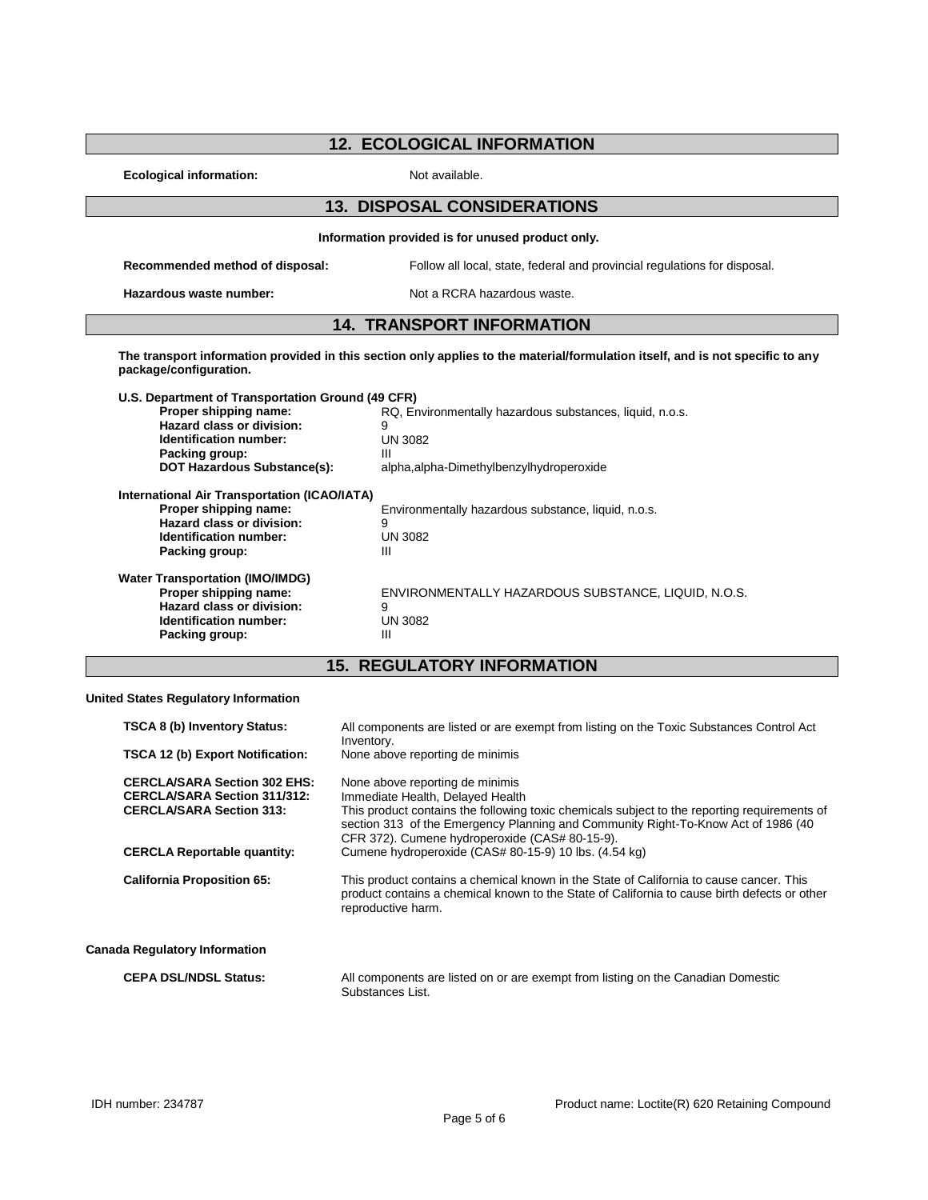|  |  | <b>12. ECOLOGICAL INFORMATION</b> |
|--|--|-----------------------------------|
|--|--|-----------------------------------|

**Ecological information:** Not available.

## **13. DISPOSAL CONSIDERATIONS**

**Information provided is for unused product only. Recommended method of disposal:** Follow all local, state, federal and provincial regulations for disposal. **Hazardous waste number:** Not a RCRA hazardous waste.

### **14. TRANSPORT INFORMATION**

**The transport information provided in this section only applies to the material/formulation itself, and is not specific to any package/configuration.**

| U.S. Department of Transportation Ground (49 CFR) |                                                          |
|---------------------------------------------------|----------------------------------------------------------|
| Proper shipping name:                             | RQ, Environmentally hazardous substances, liquid, n.o.s. |
| Hazard class or division:                         | 9                                                        |
| Identification number:                            | <b>UN 3082</b>                                           |
| Packing group:                                    | Ш                                                        |
| <b>DOT Hazardous Substance(s):</b>                | alpha, alpha-Dimethylbenzylhydroperoxide                 |
| International Air Transportation (ICAO/IATA)      |                                                          |
| Proper shipping name:                             | Environmentally hazardous substance, liquid, n.o.s.      |
| Hazard class or division:                         | 9                                                        |
| Identification number:                            | <b>UN 3082</b>                                           |
| Packing group:                                    | Ш                                                        |
| <b>Water Transportation (IMO/IMDG)</b>            |                                                          |
| Proper shipping name:                             | ENVIRONMENTALLY HAZARDOUS SUBSTANCE, LIQUID, N.O.S.      |
| Hazard class or division:                         | 9                                                        |
| Identification number:                            | <b>UN 3082</b>                                           |
| Packing group:                                    | Ш                                                        |

# **15. REGULATORY INFORMATION**

**United States Regulatory Information**

| <b>TSCA 8 (b) Inventory Status:</b>                                                                           | All components are listed or are exempt from listing on the Toxic Substances Control Act<br>Inventory.                                                                                                                                                                                                     |
|---------------------------------------------------------------------------------------------------------------|------------------------------------------------------------------------------------------------------------------------------------------------------------------------------------------------------------------------------------------------------------------------------------------------------------|
| <b>TSCA 12 (b) Export Notification:</b>                                                                       | None above reporting de minimis                                                                                                                                                                                                                                                                            |
| <b>CERCLA/SARA Section 302 EHS:</b><br><b>CERCLA/SARA Section 311/312:</b><br><b>CERCLA/SARA Section 313:</b> | None above reporting de minimis<br>Immediate Health, Delayed Health<br>This product contains the following toxic chemicals subject to the reporting requirements of<br>section 313 of the Emergency Planning and Community Right-To-Know Act of 1986 (40<br>CFR 372). Cumene hydroperoxide (CAS# 80-15-9). |
| <b>CERCLA Reportable quantity:</b>                                                                            | Cumene hydroperoxide (CAS# 80-15-9) 10 lbs. (4.54 kg)                                                                                                                                                                                                                                                      |
| <b>California Proposition 65:</b>                                                                             | This product contains a chemical known in the State of California to cause cancer. This<br>product contains a chemical known to the State of California to cause birth defects or other<br>reproductive harm.                                                                                              |
| <b>Canada Regulatory Information</b>                                                                          |                                                                                                                                                                                                                                                                                                            |
| <b>CEPA DSL/NDSL Status:</b>                                                                                  | All components are listed on or are exempt from listing on the Canadian Domestic<br>Substances List.                                                                                                                                                                                                       |